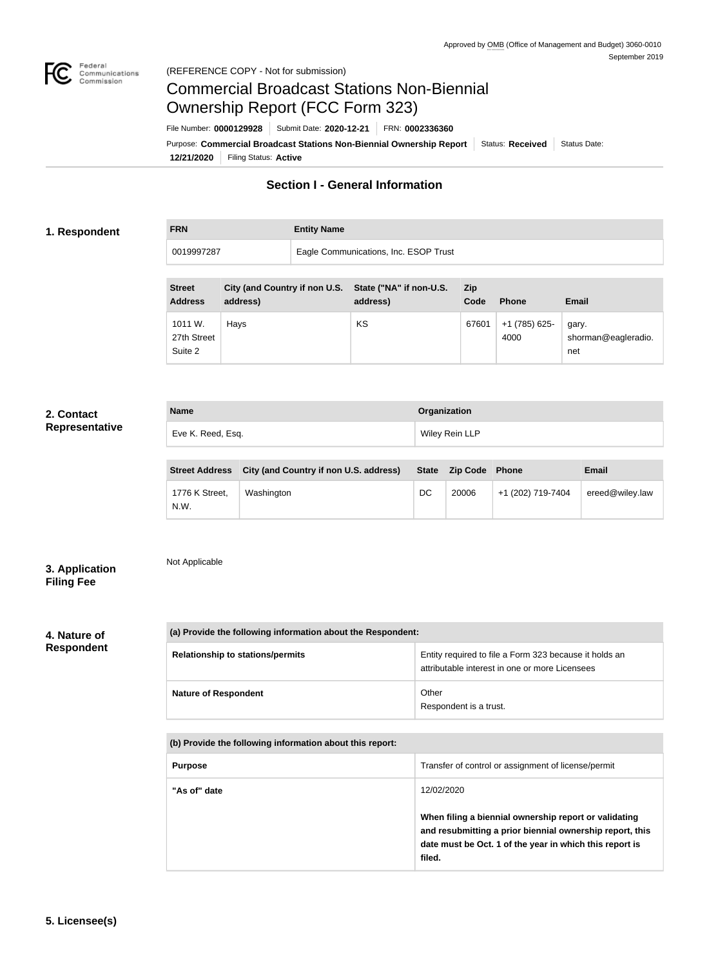

# Commercial Broadcast Stations Non-Biennial Ownership Report (FCC Form 323)

**12/21/2020** Filing Status: **Active** Purpose: Commercial Broadcast Stations Non-Biennial Ownership Report Status: Received Status Date: File Number: **0000129928** Submit Date: **2020-12-21** FRN: **0002336360**

# **Section I - General Information**

#### **1. Respondent**

**FRN Entity Name**

0019997287 Eagle Communications, Inc. ESOP Trust

| <b>Street</b><br><b>Address</b>   | City (and Country if non U.S. State ("NA" if non-U.S.<br>address) | address) | Zip<br>Code | <b>Phone</b>          | <b>Email</b>                        |
|-----------------------------------|-------------------------------------------------------------------|----------|-------------|-----------------------|-------------------------------------|
| 1011 W.<br>27th Street<br>Suite 2 | Hays                                                              | KS       | 67601       | +1 (785) 625-<br>4000 | gary.<br>shorman@eagleradio.<br>net |

# **2. Contact Representative**

| <b>Name</b>       | Organization   |
|-------------------|----------------|
| Eve K. Reed, Esq. | Wiley Rein LLP |

| <b>Street Address</b>  | City (and Country if non U.S. address) |    | State Zip Code Phone |                   | <b>Email</b>    |
|------------------------|----------------------------------------|----|----------------------|-------------------|-----------------|
| 1776 K Street,<br>N.W. | Washington                             | DC | 20006                | +1 (202) 719-7404 | ereed@wiley.law |

# **3. Application Filing Fee**

Not Applicable

# **4. Nature of Respondent**

| (a) Provide the following information about the Respondent: |                                                                                                          |  |
|-------------------------------------------------------------|----------------------------------------------------------------------------------------------------------|--|
| <b>Relationship to stations/permits</b>                     | Entity required to file a Form 323 because it holds an<br>attributable interest in one or more Licensees |  |
| <b>Nature of Respondent</b>                                 | Other<br>Respondent is a trust.                                                                          |  |

| (b) Provide the following information about this report: |                                                                                                                                                                                        |  |
|----------------------------------------------------------|----------------------------------------------------------------------------------------------------------------------------------------------------------------------------------------|--|
| <b>Purpose</b>                                           | Transfer of control or assignment of license/permit                                                                                                                                    |  |
| "As of" date                                             | 12/02/2020                                                                                                                                                                             |  |
|                                                          | When filing a biennial ownership report or validating<br>and resubmitting a prior biennial ownership report, this<br>date must be Oct. 1 of the year in which this report is<br>filed. |  |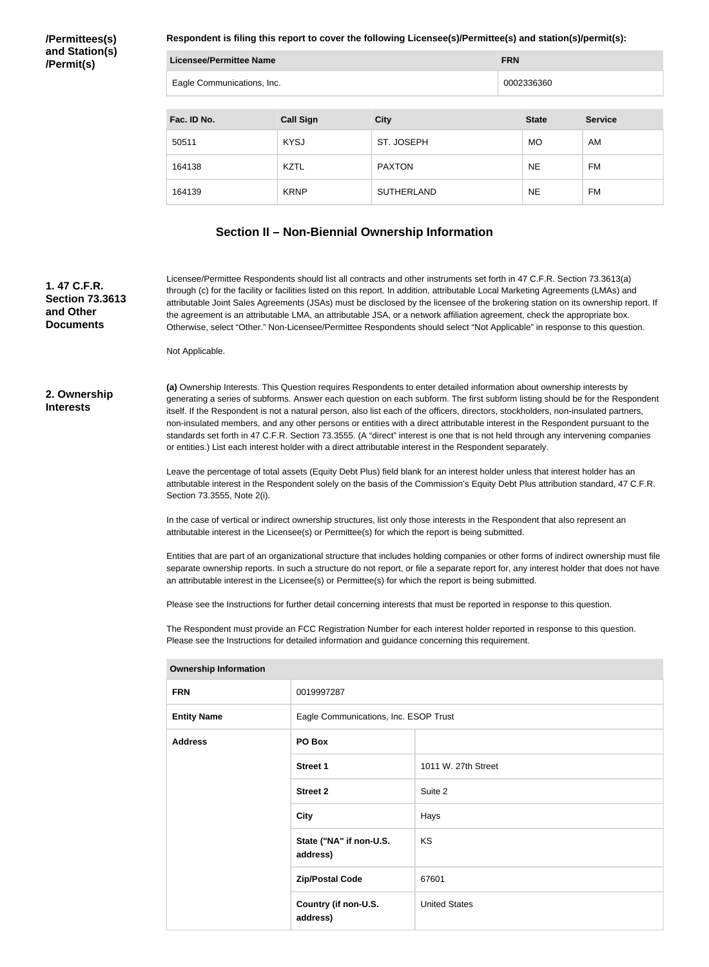**/Permittees(s) and Station(s) /Permit(s)**

**Respondent is filing this report to cover the following Licensee(s)/Permittee(s) and station(s)/permit(s):**

| <b>Licensee/Permittee Name</b> |                  |                   | <b>FRN</b>   |                |  |
|--------------------------------|------------------|-------------------|--------------|----------------|--|
| Eagle Communications, Inc.     |                  |                   | 0002336360   |                |  |
|                                |                  |                   |              |                |  |
| Fac. ID No.                    | <b>Call Sign</b> | <b>City</b>       | <b>State</b> | <b>Service</b> |  |
| 50511                          | <b>KYSJ</b>      | ST. JOSEPH        | <b>MO</b>    | AM             |  |
| 164138                         | <b>KZTL</b>      | <b>PAXTON</b>     | <b>NE</b>    | <b>FM</b>      |  |
| 164139                         | <b>KRNP</b>      | <b>SUTHERLAND</b> | <b>NE</b>    | FM             |  |

## **Section II – Non-Biennial Ownership Information**

**1. 47 C.F.R. Section 73.3613 and Other Documents**

Licensee/Permittee Respondents should list all contracts and other instruments set forth in 47 C.F.R. Section 73.3613(a) through (c) for the facility or facilities listed on this report. In addition, attributable Local Marketing Agreements (LMAs) and attributable Joint Sales Agreements (JSAs) must be disclosed by the licensee of the brokering station on its ownership report. If the agreement is an attributable LMA, an attributable JSA, or a network affiliation agreement, check the appropriate box. Otherwise, select "Other." Non-Licensee/Permittee Respondents should select "Not Applicable" in response to this question.

Not Applicable.

#### **2. Ownership Interests**

**(a)** Ownership Interests. This Question requires Respondents to enter detailed information about ownership interests by generating a series of subforms. Answer each question on each subform. The first subform listing should be for the Respondent itself. If the Respondent is not a natural person, also list each of the officers, directors, stockholders, non-insulated partners, non-insulated members, and any other persons or entities with a direct attributable interest in the Respondent pursuant to the standards set forth in 47 C.F.R. Section 73.3555. (A "direct" interest is one that is not held through any intervening companies or entities.) List each interest holder with a direct attributable interest in the Respondent separately.

Leave the percentage of total assets (Equity Debt Plus) field blank for an interest holder unless that interest holder has an attributable interest in the Respondent solely on the basis of the Commission's Equity Debt Plus attribution standard, 47 C.F.R. Section 73.3555, Note 2(i).

In the case of vertical or indirect ownership structures, list only those interests in the Respondent that also represent an attributable interest in the Licensee(s) or Permittee(s) for which the report is being submitted.

Entities that are part of an organizational structure that includes holding companies or other forms of indirect ownership must file separate ownership reports. In such a structure do not report, or file a separate report for, any interest holder that does not have an attributable interest in the Licensee(s) or Permittee(s) for which the report is being submitted.

Please see the Instructions for further detail concerning interests that must be reported in response to this question.

The Respondent must provide an FCC Registration Number for each interest holder reported in response to this question. Please see the Instructions for detailed information and guidance concerning this requirement.

| <b>FRN</b>         | 0019997287                            |                      |
|--------------------|---------------------------------------|----------------------|
| <b>Entity Name</b> | Eagle Communications, Inc. ESOP Trust |                      |
| <b>Address</b>     | PO Box                                |                      |
|                    | <b>Street 1</b>                       | 1011 W. 27th Street  |
|                    | <b>Street 2</b>                       | Suite 2              |
|                    | <b>City</b>                           | Hays                 |
|                    | State ("NA" if non-U.S.<br>address)   | <b>KS</b>            |
|                    | <b>Zip/Postal Code</b>                | 67601                |
|                    | Country (if non-U.S.<br>address)      | <b>United States</b> |

#### **Ownership Information**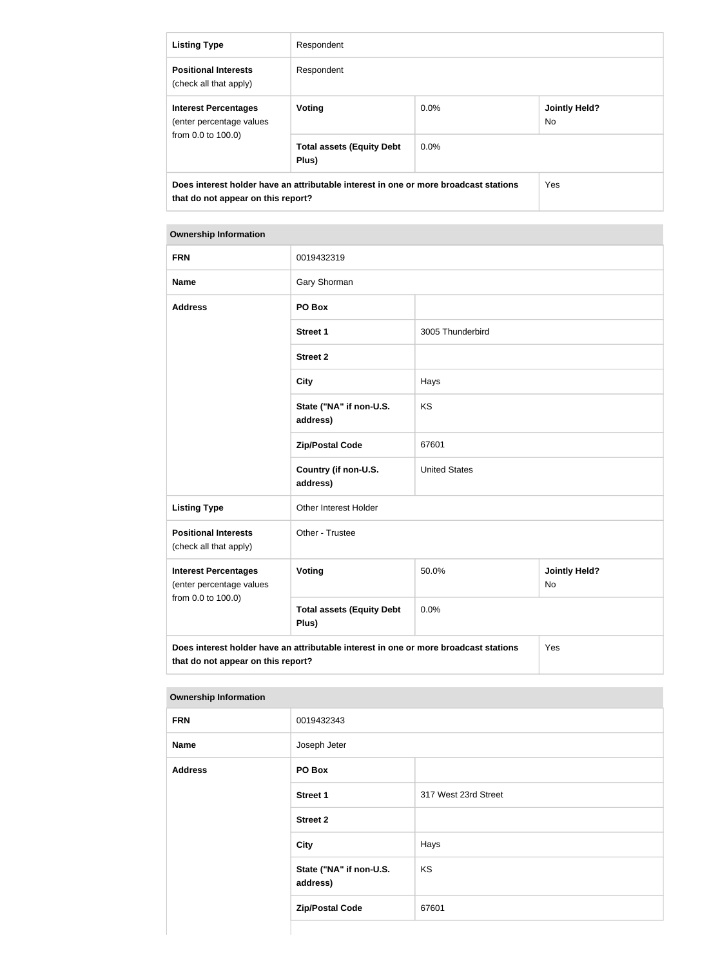| <b>Listing Type</b>                                                                                                               | Respondent                                |         |                             |
|-----------------------------------------------------------------------------------------------------------------------------------|-------------------------------------------|---------|-----------------------------|
| <b>Positional Interests</b><br>(check all that apply)                                                                             | Respondent                                |         |                             |
| <b>Interest Percentages</b><br>(enter percentage values                                                                           | Voting                                    | $0.0\%$ | <b>Jointly Held?</b><br>No. |
| from 0.0 to 100.0)                                                                                                                | <b>Total assets (Equity Debt</b><br>Plus) | $0.0\%$ |                             |
| Does interest holder have an attributable interest in one or more broadcast stations<br>Yes<br>that do not appear on this report? |                                           |         |                             |

#### **Ownership Information**

| <b>FRN</b>                                                                                                                        | 0019432319                                |                      |                                   |  |
|-----------------------------------------------------------------------------------------------------------------------------------|-------------------------------------------|----------------------|-----------------------------------|--|
| <b>Name</b>                                                                                                                       | Gary Shorman                              |                      |                                   |  |
| <b>Address</b>                                                                                                                    | PO Box                                    |                      |                                   |  |
|                                                                                                                                   | <b>Street 1</b>                           | 3005 Thunderbird     |                                   |  |
|                                                                                                                                   | <b>Street 2</b>                           |                      |                                   |  |
|                                                                                                                                   | <b>City</b>                               | Hays                 |                                   |  |
|                                                                                                                                   | State ("NA" if non-U.S.<br>address)       | KS                   |                                   |  |
|                                                                                                                                   | <b>Zip/Postal Code</b>                    | 67601                |                                   |  |
|                                                                                                                                   | Country (if non-U.S.<br>address)          | <b>United States</b> |                                   |  |
| <b>Listing Type</b>                                                                                                               | Other Interest Holder                     |                      |                                   |  |
| <b>Positional Interests</b><br>(check all that apply)                                                                             | Other - Trustee                           |                      |                                   |  |
| <b>Interest Percentages</b><br>(enter percentage values                                                                           | Voting                                    | 50.0%                | <b>Jointly Held?</b><br><b>No</b> |  |
| from 0.0 to 100.0)                                                                                                                | <b>Total assets (Equity Debt</b><br>Plus) | 0.0%                 |                                   |  |
| Does interest holder have an attributable interest in one or more broadcast stations<br>Yes<br>that do not appear on this report? |                                           |                      |                                   |  |

#### **Ownership Information**

| ____           |                                     |                      |
|----------------|-------------------------------------|----------------------|
| <b>FRN</b>     | 0019432343                          |                      |
| <b>Name</b>    | Joseph Jeter                        |                      |
| <b>Address</b> | PO Box                              |                      |
|                | <b>Street 1</b>                     | 317 West 23rd Street |
|                | <b>Street 2</b>                     |                      |
|                | <b>City</b>                         | Hays                 |
|                | State ("NA" if non-U.S.<br>address) | KS                   |
|                | <b>Zip/Postal Code</b>              | 67601                |
|                |                                     |                      |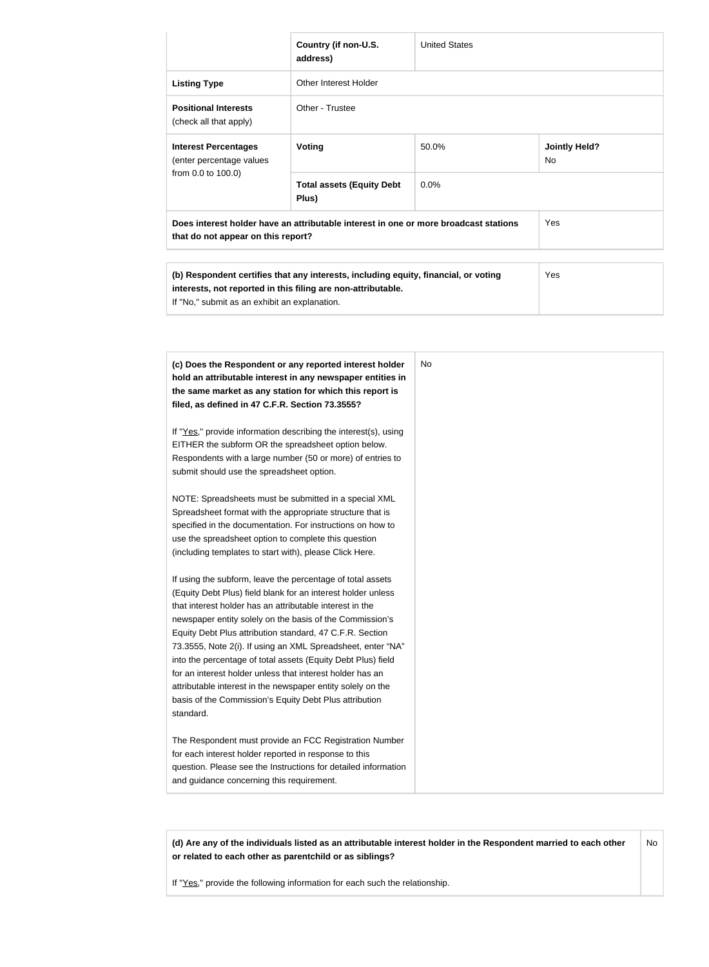|                                                                                                                                                                                                                                                                                                                                                                                                                                                                                                                                                                                                                                                                                                                                                                                                                                                                                                                                                                                                                                                                                                                                                                                                                                                                                                                                                   | Country (if non-U.S.<br>address)                                                                                                                                                                                                                                                                                 | <b>United States</b> |                                   |  |
|---------------------------------------------------------------------------------------------------------------------------------------------------------------------------------------------------------------------------------------------------------------------------------------------------------------------------------------------------------------------------------------------------------------------------------------------------------------------------------------------------------------------------------------------------------------------------------------------------------------------------------------------------------------------------------------------------------------------------------------------------------------------------------------------------------------------------------------------------------------------------------------------------------------------------------------------------------------------------------------------------------------------------------------------------------------------------------------------------------------------------------------------------------------------------------------------------------------------------------------------------------------------------------------------------------------------------------------------------|------------------------------------------------------------------------------------------------------------------------------------------------------------------------------------------------------------------------------------------------------------------------------------------------------------------|----------------------|-----------------------------------|--|
| <b>Listing Type</b>                                                                                                                                                                                                                                                                                                                                                                                                                                                                                                                                                                                                                                                                                                                                                                                                                                                                                                                                                                                                                                                                                                                                                                                                                                                                                                                               | <b>Other Interest Holder</b>                                                                                                                                                                                                                                                                                     |                      |                                   |  |
| <b>Positional Interests</b><br>(check all that apply)                                                                                                                                                                                                                                                                                                                                                                                                                                                                                                                                                                                                                                                                                                                                                                                                                                                                                                                                                                                                                                                                                                                                                                                                                                                                                             | Other - Trustee                                                                                                                                                                                                                                                                                                  |                      |                                   |  |
| <b>Interest Percentages</b><br>(enter percentage values                                                                                                                                                                                                                                                                                                                                                                                                                                                                                                                                                                                                                                                                                                                                                                                                                                                                                                                                                                                                                                                                                                                                                                                                                                                                                           | Voting                                                                                                                                                                                                                                                                                                           | 50.0%                | <b>Jointly Held?</b><br><b>No</b> |  |
| from 0.0 to 100.0)                                                                                                                                                                                                                                                                                                                                                                                                                                                                                                                                                                                                                                                                                                                                                                                                                                                                                                                                                                                                                                                                                                                                                                                                                                                                                                                                | <b>Total assets (Equity Debt</b><br>Plus)                                                                                                                                                                                                                                                                        | 0.0%                 |                                   |  |
| that do not appear on this report?                                                                                                                                                                                                                                                                                                                                                                                                                                                                                                                                                                                                                                                                                                                                                                                                                                                                                                                                                                                                                                                                                                                                                                                                                                                                                                                | Does interest holder have an attributable interest in one or more broadcast stations                                                                                                                                                                                                                             |                      | Yes                               |  |
|                                                                                                                                                                                                                                                                                                                                                                                                                                                                                                                                                                                                                                                                                                                                                                                                                                                                                                                                                                                                                                                                                                                                                                                                                                                                                                                                                   | (b) Respondent certifies that any interests, including equity, financial, or voting<br>Yes<br>interests, not reported in this filing are non-attributable.<br>If "No," submit as an exhibit an explanation.                                                                                                      |                      |                                   |  |
| the same market as any station for which this report is<br>filed, as defined in 47 C.F.R. Section 73.3555?<br>If "Yes," provide information describing the interest(s), using<br>EITHER the subform OR the spreadsheet option below.<br>Respondents with a large number (50 or more) of entries to<br>submit should use the spreadsheet option.<br>NOTE: Spreadsheets must be submitted in a special XML<br>Spreadsheet format with the appropriate structure that is<br>specified in the documentation. For instructions on how to<br>use the spreadsheet option to complete this question<br>(including templates to start with), please Click Here.<br>If using the subform, leave the percentage of total assets<br>(Equity Debt Plus) field blank for an interest holder unless<br>that interest holder has an attributable interest in the<br>newspaper entity solely on the basis of the Commission's<br>Equity Debt Plus attribution standard, 47 C.F.R. Section<br>into the percentage of total assets (Equity Debt Plus) field<br>for an interest holder unless that interest holder has an<br>attributable interest in the newspaper entity solely on the<br>basis of the Commission's Equity Debt Plus attribution<br>standard.<br>for each interest holder reported in response to this<br>and guidance concerning this requirement. | (c) Does the Respondent or any reported interest holder<br>hold an attributable interest in any newspaper entities in<br>73.3555, Note 2(i). If using an XML Spreadsheet, enter "NA"<br>The Respondent must provide an FCC Registration Number<br>question. Please see the Instructions for detailed information | No.                  |                                   |  |

**(d) Are any of the individuals listed as an attributable interest holder in the Respondent married to each other or related to each other as parentchild or as siblings?** No

If "Yes," provide the following information for each such the relationship.